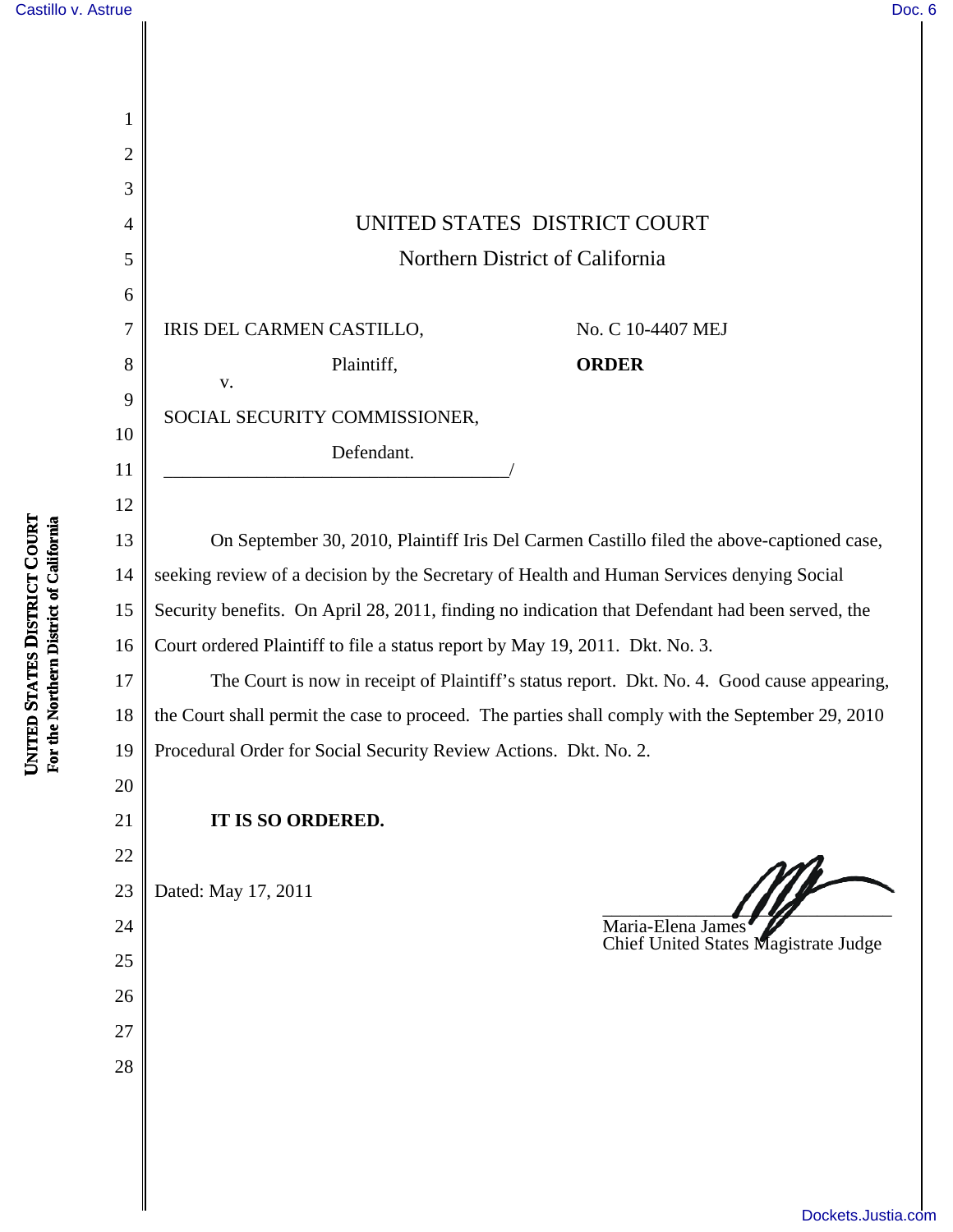| Castillo v. Astrue                                           |                | Doc. 6                                                                                           |
|--------------------------------------------------------------|----------------|--------------------------------------------------------------------------------------------------|
|                                                              |                |                                                                                                  |
|                                                              |                |                                                                                                  |
|                                                              | 1              |                                                                                                  |
|                                                              | $\overline{2}$ |                                                                                                  |
|                                                              | 3              |                                                                                                  |
|                                                              | 4              | UNITED STATES DISTRICT COURT                                                                     |
|                                                              | 5              | Northern District of California                                                                  |
|                                                              | 6              |                                                                                                  |
|                                                              | 7              | IRIS DEL CARMEN CASTILLO,<br>No. C 10-4407 MEJ                                                   |
|                                                              | 8              | Plaintiff,<br><b>ORDER</b>                                                                       |
|                                                              | 9              | V.                                                                                               |
|                                                              | 10             | SOCIAL SECURITY COMMISSIONER,                                                                    |
|                                                              | 11             | Defendant.                                                                                       |
|                                                              | 12             |                                                                                                  |
| <b>TATES DISTRICT COURT</b><br>rthern District of California | 13             | On September 30, 2010, Plaintiff Iris Del Carmen Castillo filed the above-captioned case,        |
|                                                              | 14             | seeking review of a decision by the Secretary of Health and Human Services denying Social        |
|                                                              | 15             | Security benefits. On April 28, 2011, finding no indication that Defendant had been served, the  |
|                                                              | 16             | Court ordered Plaintiff to file a status report by May 19, 2011. Dkt. No. 3.                     |
|                                                              | 17             | The Court is now in receipt of Plaintiff's status report. Dkt. No. 4. Good cause appearing,      |
|                                                              | 18             | the Court shall permit the case to proceed. The parties shall comply with the September 29, 2010 |
| UNITED S<br>For the Nor                                      | 19             | Procedural Order for Social Security Review Actions. Dkt. No. 2.                                 |
|                                                              | 20             |                                                                                                  |
|                                                              | 21             | IT IS SO ORDERED.                                                                                |
|                                                              | 22             |                                                                                                  |
|                                                              | 23             | Dated: May 17, 2011                                                                              |
|                                                              | 24             | Maria-Elena James                                                                                |
|                                                              | 25             | Chief United States Magistrate Judge                                                             |
|                                                              | 26             |                                                                                                  |
|                                                              | 27             |                                                                                                  |
|                                                              | 28             |                                                                                                  |
|                                                              |                |                                                                                                  |
|                                                              |                |                                                                                                  |
|                                                              |                |                                                                                                  |
|                                                              |                | Dockets.Justia.com                                                                               |